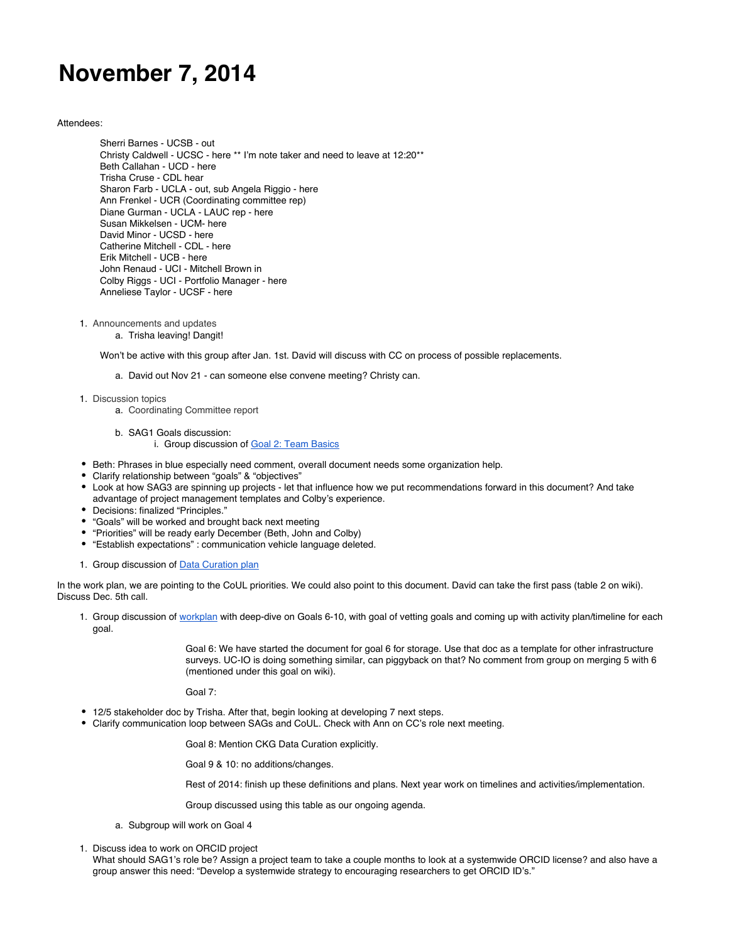## **November 7, 2014**

## Attendees:

Sherri Barnes - UCSB - out Christy Caldwell - UCSC - here \*\* I'm note taker and need to leave at 12:20\*\* Beth Callahan - UCD - here Trisha Cruse - CDL hear Sharon Farb - UCLA - out, sub Angela Riggio - here Ann Frenkel - UCR (Coordinating committee rep) Diane Gurman - UCLA - LAUC rep - here Susan Mikkelsen - UCM- here David Minor - UCSD - here Catherine Mitchell - CDL - here Erik Mitchell - UCB - here John Renaud - UCI - Mitchell Brown in Colby Riggs - UCI - Portfolio Manager - here Anneliese Taylor - UCSF - here

- 1. Announcements and updates
	- a. Trisha leaving! Dangit!

Won't be active with this group after Jan. 1st. David will discuss with CC on process of possible replacements.

- a. David out Nov 21 can someone else convene meeting? Christy can.
- 1. Discussion topics
	- a. Coordinating Committee report
	- b. SAG1 Goals discussion:
		- i. Group discussion of [Goal 2: Team Basics](https://docs.google.com/document/d/1S_jyZ6SdbnLPKMV1Ql2JB5xqJM9rMZ9-sDrxzNAcdLY/edit?usp=sharing)
- Beth: Phrases in blue especially need comment, overall document needs some organization help.
- Clarify relationship between "goals" & "objectives"
- Look at how SAG3 are spinning up projects let that influence how we put recommendations forward in this document? And take advantage of project management templates and Colby's experience.
- Decisions: finalized "Principles."
- "Goals" will be worked and brought back next meeting
- "Priorities" will be ready early December (Beth, John and Colby)
- "Establish expectations" : communication vehicle language deleted.
- 1. Group discussion of **[Data Curation plan](https://drive.google.com/file/d/0B5XxJ1waNsc8WHM4Wl9uM2REVWc/view?usp=sharing)**

In the work plan, we are pointing to the CoUL priorities. We could also point to this document. David can take the first pass (table 2 on wiki). Discuss Dec. 5th call.

1. Group discussion of [workplan](https://wiki.library.ucsf.edu/pages/viewpage.action?title=Table+2+-+Portfolio+-++Assess+and+Monitor&spaceKey=UCLSAG1) with deep-dive on Goals 6-10, with goal of vetting goals and coming up with activity plan/timeline for each goal.

> Goal 6: We have started the document for goal 6 for storage. Use that doc as a template for other infrastructure surveys. UC-IO is doing something similar, can piggyback on that? No comment from group on merging 5 with 6 (mentioned under this goal on wiki).

Goal 7:

- 12/5 stakeholder doc by Trisha. After that, begin looking at developing 7 next steps.
- Clarify communication loop between SAGs and CoUL. Check with Ann on CC's role next meeting.

Goal 8: Mention CKG Data Curation explicitly.

Goal 9 & 10: no additions/changes.

Rest of 2014: finish up these definitions and plans. Next year work on timelines and activities/implementation.

Group discussed using this table as our ongoing agenda.

- a. Subgroup will work on Goal 4
- 1. Discuss idea to work on ORCID project
- What should SAG1's role be? Assign a project team to take a couple months to look at a systemwide ORCID license? and also have a group answer this need: "Develop a systemwide strategy to encouraging researchers to get ORCID ID's."